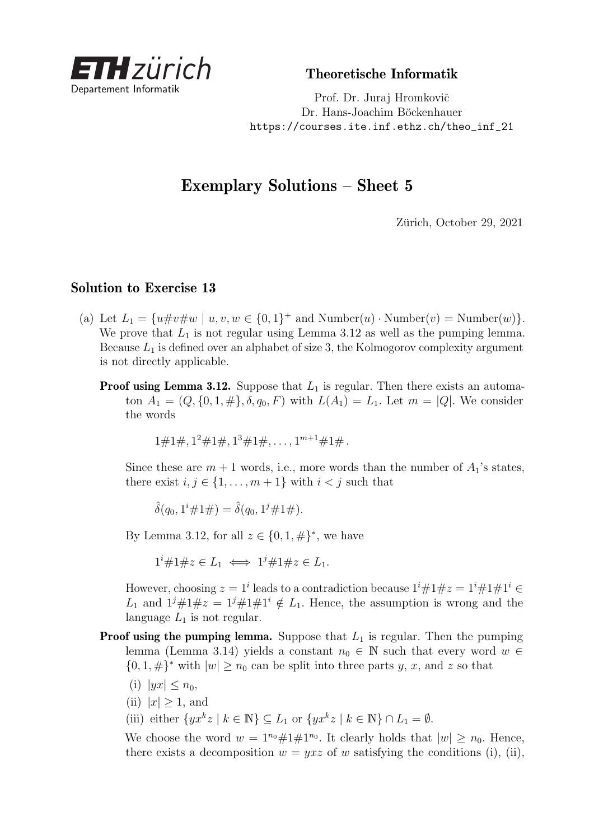

Theoretische Informatik

Prof. Dr. Juraj Hromkovič Dr. Hans-Joachim Böckenhauer [https://courses.ite.inf.ethz.ch/theo\\_inf\\_21](https://courses.ite.inf.ethz.ch/theo_inf_21)

## Exemplary Solutions – Sheet 5

Zürich, October 29, 2021

## Solution to Exercise 13

- (a) Let  $L_1 = \{u \# v \# w \mid u, v, w \in \{0, 1\}^+ \text{ and Number}(u) \cdot \text{Number}(v) = \text{Number}(w)\}.$ We prove that  $L_1$  is not regular using Lemma 3.12 as well as the pumping lemma. Because  $L_1$  is defined over an alphabet of size 3, the Kolmogorov complexity argument is not directly applicable.
	- **Proof using Lemma 3.12.** Suppose that  $L_1$  is regular. Then there exists an automaton  $A_1 = (Q, \{0, 1, \# \}, \delta, q_0, F)$  with  $L(A_1) = L_1$ . Let  $m = |Q|$ . We consider the words

 $1 \# 1 \#$ ,  $1^2 \# 1 \#$ ,  $1^3 \# 1 \#$ ,  $\dots$ ,  $1^{m+1} \# 1 \#$ .

Since these are  $m + 1$  words, i.e., more words than the number of  $A_1$ 's states, there exist  $i, j \in \{1, \ldots, m+1\}$  with  $i < j$  such that

 $\hat{\delta}(q_0, 1^i \# 1 \#) = \hat{\delta}(q_0, 1^j \# 1 \#).$ 

By Lemma 3.12, for all  $z \in \{0, 1, \#\}^*$ , we have

 $1^{i} \# 1 \# z \in L_1 \iff 1^{j} \# 1 \# z \in L_1.$ 

However, choosing  $z = 1^i$  leads to a contradiction because  $1^i \# 1 \# z = 1^i \# 1 \# 1^i \in$ *L*<sub>1</sub> and  $1^j \# 1 \# z = 1^j \# 1 \# 1^i \notin L_1$ . Hence, the assumption is wrong and the language  $L_1$  is not regular.

- **Proof using the pumping lemma.** Suppose that  $L_1$  is regular. Then the pumping lemma (Lemma 3.14) yields a constant  $n_0 \in \mathbb{N}$  such that every word  $w \in$  $\{0, 1, \#\}^*$  with  $|w| \geq n_0$  can be split into three parts *y*, *x*, and *z* so that
	- (i)  $|yx| \leq n_0$ ,
	- (ii)  $|x| > 1$ , and
	- (iii) either  $\{yx^kz \mid k \in \mathbb{N}\}\subseteq L_1$  or  $\{yx^kz \mid k \in \mathbb{N}\}\cap L_1=\emptyset$ .

We choose the word  $w = 1^{n_0} \# 1 \# 1^{n_0}$ . It clearly holds that  $|w| \ge n_0$ . Hence, there exists a decomposition  $w = yxz$  of w satisfying the conditions (i), (ii),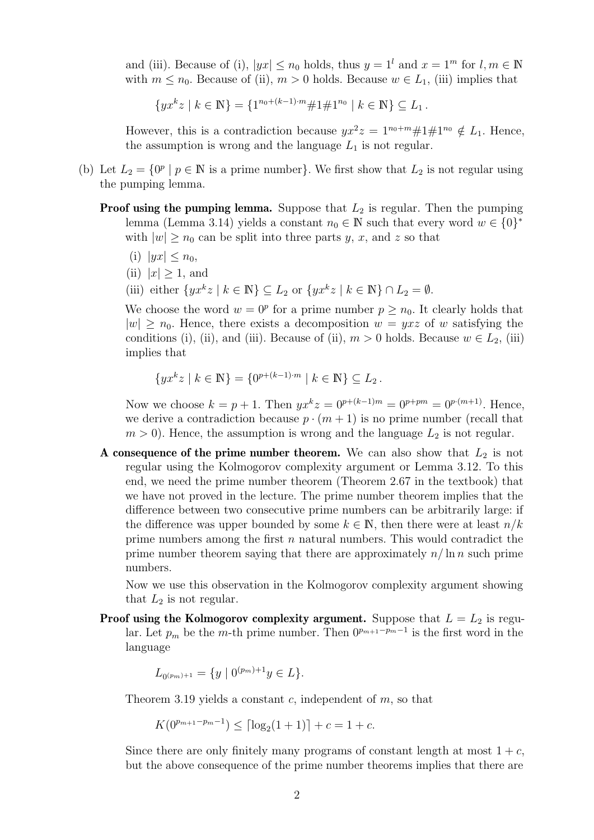and (iii). Because of (i),  $|yx| \le n_0$  holds, thus  $y = 1^l$  and  $x = 1^m$  for  $l, m \in \mathbb{N}$ with  $m \leq n_0$ . Because of (ii),  $m > 0$  holds. Because  $w \in L_1$ , (iii) implies that

 $\{yx^kz \mid k \in \mathbb{N}\} = \{1^{n_0 + (k-1)\cdot m} \# 1 \# 1^{n_0} \mid k \in \mathbb{N}\} \subseteq L_1$ .

However, this is a contradiction because  $yx^2z = 1^{n_0+m} \# 1 \# 1^{n_0} \notin L_1$ . Hence, the assumption is wrong and the language  $L_1$  is not regular.

- (b) Let  $L_2 = \{0^p | p \in \mathbb{N} \text{ is a prime number}\}\.$  We first show that  $L_2$  is not regular using the pumping lemma.
	- **Proof using the pumping lemma.** Suppose that  $L_2$  is regular. Then the pumping lemma (Lemma 3.14) yields a constant  $n_0 \in \mathbb{N}$  such that every word  $w \in \{0\}^*$ with  $|w| \geq n_0$  can be split into three parts *y*, *x*, and *z* so that
		- (i)  $|yx| < n_0$ ,
		- (ii)  $|x| > 1$ , and
		- (iii) either  $\{yx^kz \mid k \in \mathbb{N}\}\subseteq L_2$  or  $\{yx^kz \mid k \in \mathbb{N}\}\cap L_2=\emptyset$ .

We choose the word  $w = 0^p$  for a prime number  $p \geq n_0$ . It clearly holds that  $|w| \geq n_0$ . Hence, there exists a decomposition  $w = yxz$  of w satisfying the conditions (i), (ii), and (iii). Because of (ii),  $m > 0$  holds. Because  $w \in L_2$ , (iii) implies that

 $\{yx^kz \mid k \in \mathbb{N}\} = \{0^{p+(k-1)\cdot m} \mid k \in \mathbb{N}\} \subseteq L_2$ .

Now we choose  $k = p + 1$ . Then  $yx^kz = 0^{p+(k-1)m} = 0^{p+pm} = 0^{p-(m+1)}$ . Hence, we derive a contradiction because  $p \cdot (m + 1)$  is no prime number (recall that  $m > 0$ ). Hence, the assumption is wrong and the language  $L_2$  is not regular.

A consequence of the prime number theorem. We can also show that  $L_2$  is not regular using the Kolmogorov complexity argument or Lemma 3.12. To this end, we need the prime number theorem (Theorem 2.67 in the textbook) that we have not proved in the lecture. The prime number theorem implies that the difference between two consecutive prime numbers can be arbitrarily large: if the difference was upper bounded by some  $k \in \mathbb{N}$ , then there were at least  $n/k$ prime numbers among the first *n* natural numbers. This would contradict the prime number theorem saying that there are approximately *n/* ln *n* such prime numbers.

Now we use this observation in the Kolmogorov complexity argument showing that  $L_2$  is not regular.

**Proof using the Kolmogorov complexity argument.** Suppose that  $L = L_2$  is regular. Let  $p_m$  be the *m*-th prime number. Then  $0^{p_{m+1}-p_m-1}$  is the first word in the language

$$
L_{0^{(p_m)+1}} = \{ y \mid 0^{(p_m)+1}y \in L \}.
$$

Theorem 3.19 yields a constant *c*, independent of *m*, so that

$$
K(0^{p_{m+1}-p_m-1}) \leq \lceil \log_2(1+1) \rceil + c = 1 + c.
$$

Since there are only finitely many programs of constant length at most  $1 + c$ , but the above consequence of the prime number theorems implies that there are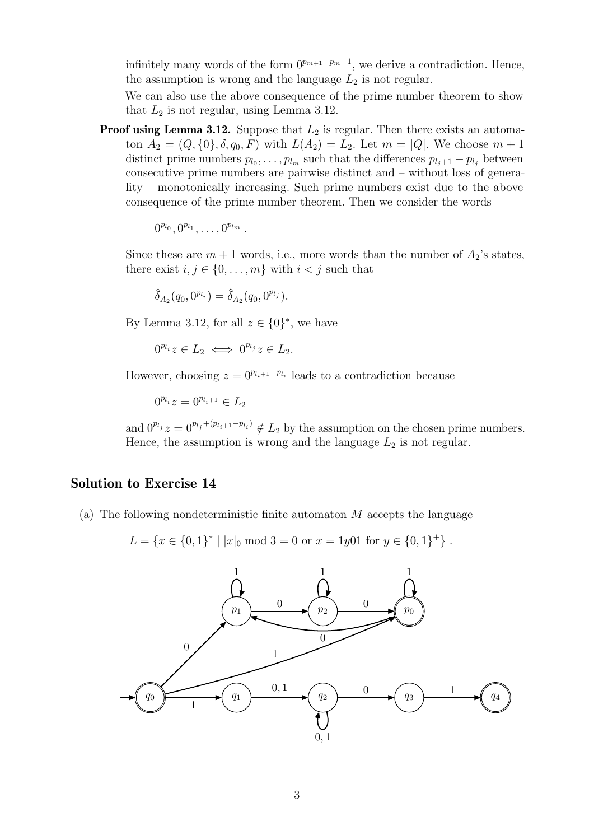infinitely many words of the form  $0^{p_{m+1}-p_m-1}$ , we derive a contradiction. Hence, the assumption is wrong and the language  $L_2$  is not regular.

We can also use the above consequence of the prime number theorem to show that  $L_2$  is not regular, using Lemma 3.12.

**Proof using Lemma 3.12.** Suppose that  $L_2$  is regular. Then there exists an automaton  $A_2 = (Q, \{0\}, \delta, q_0, F)$  with  $L(A_2) = L_2$ . Let  $m = |Q|$ . We choose  $m + 1$ distinct prime numbers  $p_{l_0}, \ldots, p_{l_m}$  such that the differences  $p_{l_j+1} - p_{l_j}$  between consecutive prime numbers are pairwise distinct and – without loss of generality – monotonically increasing. Such prime numbers exist due to the above consequence of the prime number theorem. Then we consider the words

 $0^{p_{l_0}}, 0^{p_{l_1}}, \ldots, 0^{p_{l_m}}$ .

Since these are  $m + 1$  words, i.e., more words than the number of  $A_2$ 's states, there exist  $i, j \in \{0, \ldots, m\}$  with  $i < j$  such that

 $\hat{\delta}_{A_2}(q_0, 0^{p_{l_i}}) = \hat{\delta}_{A_2}(q_0, 0^{p_{l_j}}).$ 

By Lemma 3.12, for all  $z \in \{0\}^*$ , we have

 $0^{p_l} z \in L_2 \iff 0^{p_l} z \in L_2.$ 

However, choosing  $z = 0^{p_{l_i+1}-p_{l_i}}$  leads to a contradiction because

 $0^{p_i} z = 0^{p_{i+1}} \in L_2$ 

and  $0^{p_l} z = 0^{p_l} e^{+(p_{l_i+1}-p_{l_i})} \notin L_2$  by the assumption on the chosen prime numbers. Hence, the assumption is wrong and the language  $L_2$  is not regular.

## Solution to Exercise 14

(a) The following nondeterministic finite automaton *M* accepts the language

 $L = \{x \in \{0, 1\}^* \mid |x|_0 \text{ mod } 3 = 0 \text{ or } x = 1y01 \text{ for } y \in \{0, 1\}^+\}$ .

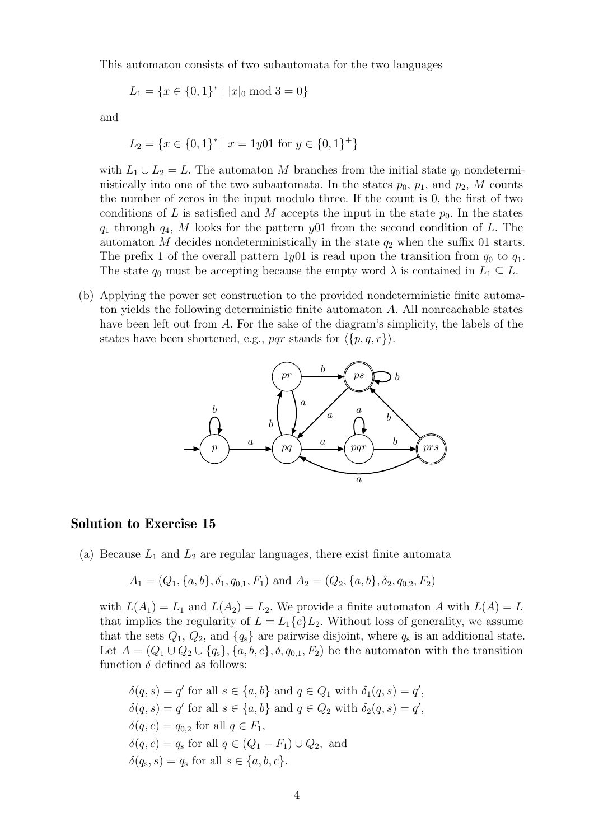This automaton consists of two subautomata for the two languages

$$
L_1 = \{ x \in \{0, 1\}^* \mid |x|_0 \text{ mod } 3 = 0 \}
$$

and

$$
L_2 = \{x \in \{0, 1\}^* \mid x = 1y01 \text{ for } y \in \{0, 1\}^+\}
$$

with  $L_1 \cup L_2 = L$ . The automaton *M* branches from the initial state  $q_0$  nondeterministically into one of the two subautomata. In the states  $p_0$ ,  $p_1$ , and  $p_2$ , M counts the number of zeros in the input modulo three. If the count is 0, the first of two conditions of L is satisfied and M accepts the input in the state  $p_0$ . In the states *q*<sup>1</sup> through *q*4, *M* looks for the pattern *y*01 from the second condition of *L*. The automaton *M* decides nondeterministically in the state  $q_2$  when the suffix 01 starts. The prefix 1 of the overall pattern  $1y01$  is read upon the transition from  $q_0$  to  $q_1$ . The state  $q_0$  must be accepting because the empty word  $\lambda$  is contained in  $L_1 \subseteq L$ .

(b) Applying the power set construction to the provided nondeterministic finite automaton yields the following deterministic finite automaton *A*. All nonreachable states have been left out from *A*. For the sake of the diagram's simplicity, the labels of the states have been shortened, e.g., *pqr* stands for  $\langle {p, q, r} \rangle$ .



## Solution to Exercise 15

(a) Because  $L_1$  and  $L_2$  are regular languages, there exist finite automata

$$
A_1 = (Q_1, \{a, b\}, \delta_1, q_{0,1}, F_1)
$$
 and  $A_2 = (Q_2, \{a, b\}, \delta_2, q_{0,2}, F_2)$ 

with  $L(A_1) = L_1$  and  $L(A_2) = L_2$ . We provide a finite automaton A with  $L(A) = L$ that implies the regularity of  $L = L_1(c) L_2$ . Without loss of generality, we assume that the sets  $Q_1, Q_2$ , and  $\{q_s\}$  are pairwise disjoint, where  $q_s$  is an additional state. Let  $A = (Q_1 \cup Q_2 \cup \{q_s\}, \{a, b, c\}, \delta, q_{0,1}, F_2)$  be the automaton with the transition function  $\delta$  defined as follows:

$$
\delta(q, s) = q' \text{ for all } s \in \{a, b\} \text{ and } q \in Q_1 \text{ with } \delta_1(q, s) = q',
$$
  
\n
$$
\delta(q, s) = q' \text{ for all } s \in \{a, b\} \text{ and } q \in Q_2 \text{ with } \delta_2(q, s) = q',
$$
  
\n
$$
\delta(q, c) = q_{0,2} \text{ for all } q \in F_1,
$$
  
\n
$$
\delta(q, c) = q_s \text{ for all } q \in (Q_1 - F_1) \cup Q_2, \text{ and}
$$
  
\n
$$
\delta(q_s, s) = q_s \text{ for all } s \in \{a, b, c\}.
$$